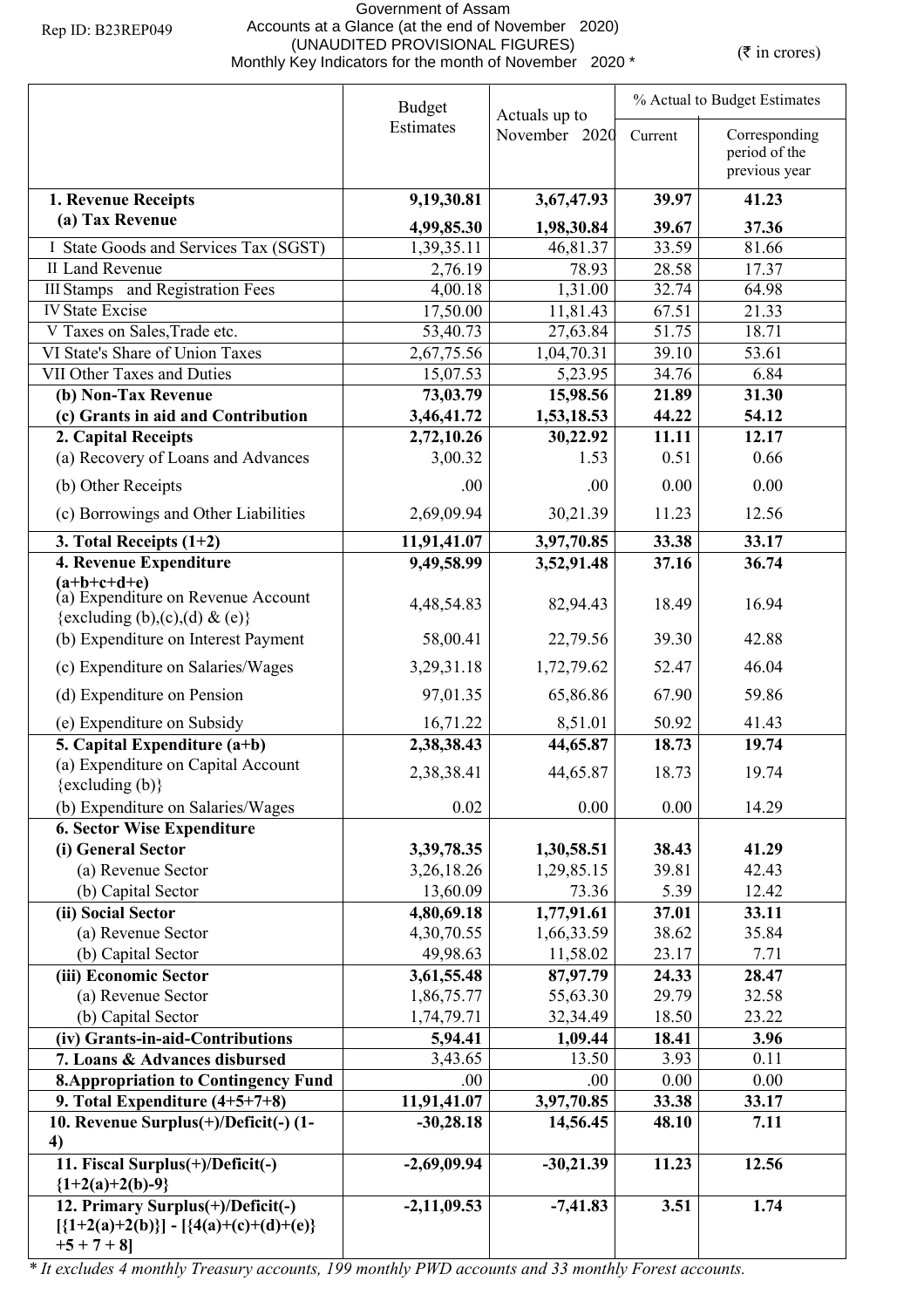## Government of Assam Accounts at a Glance (at the end of November 2020) (UNAUDITED PROVISIONAL FIGURES)<br>Monthly Key Indicators for the month of November 2020 \* (₹ in crores)

|                                                                                              | <b>Budget</b><br>Actuals up to |                          | % Actual to Budget Estimates |                                |  |
|----------------------------------------------------------------------------------------------|--------------------------------|--------------------------|------------------------------|--------------------------------|--|
|                                                                                              | Estimates                      | November 2020            | Current                      | Corresponding<br>period of the |  |
|                                                                                              |                                |                          |                              | previous year                  |  |
| 1. Revenue Receipts                                                                          | 9,19,30.81                     | 3,67,47.93               | 39.97                        | 41.23                          |  |
| (a) Tax Revenue                                                                              | 4,99,85.30                     | 1,98,30.84               | 39.67                        | 37.36                          |  |
| I State Goods and Services Tax (SGST)                                                        | 1,39,35.11                     | 46,81.37                 | 33.59                        | 81.66                          |  |
| <b>II Land Revenue</b>                                                                       | 2,76.19                        | 78.93                    | 28.58                        | 17.37                          |  |
| <b>III Stamps</b> and Registration Fees                                                      | 4,00.18                        | 1,31.00                  | 32.74                        | 64.98                          |  |
| <b>IV State Excise</b>                                                                       | 17,50.00                       | 11,81.43                 | 67.51                        | 21.33                          |  |
| V Taxes on Sales, Trade etc.                                                                 | 53,40.73                       | 27,63.84                 | 51.75                        | 18.71                          |  |
| VI State's Share of Union Taxes                                                              | 2,67,75.56                     | 1,04,70.31               | 39.10                        | 53.61                          |  |
| VII Other Taxes and Duties                                                                   | 15,07.53                       | 5,23.95                  | 34.76                        | 6.84                           |  |
| (b) Non-Tax Revenue                                                                          | 73,03.79                       | 15,98.56                 | 21.89                        | 31.30                          |  |
| (c) Grants in aid and Contribution                                                           | 3,46,41.72                     | 1,53,18.53               | 44.22                        | 54.12                          |  |
| 2. Capital Receipts                                                                          | 2,72,10.26                     | 30,22.92                 | 11.11                        | 12.17                          |  |
| (a) Recovery of Loans and Advances                                                           | 3,00.32                        | 1.53                     | 0.51                         | 0.66                           |  |
| (b) Other Receipts                                                                           | .00                            | .00                      | 0.00                         | 0.00                           |  |
| (c) Borrowings and Other Liabilities                                                         | 2,69,09.94                     | 30,21.39                 | 11.23                        | 12.56                          |  |
| 3. Total Receipts $(1+2)$                                                                    | 11,91,41.07                    | 3,97,70.85               | 33.38                        | 33.17                          |  |
| 4. Revenue Expenditure                                                                       | 9,49,58.99                     | 3,52,91.48               | 37.16                        | 36.74                          |  |
| $(a+b+c+d+e)$<br>(a) Expenditure on Revenue Account<br>{excluding (b),(c),(d) & (e)}         | 4,48,54.83                     | 82,94.43                 | 18.49                        | 16.94                          |  |
| (b) Expenditure on Interest Payment                                                          | 58,00.41                       | 22,79.56                 | 39.30                        | 42.88                          |  |
| (c) Expenditure on Salaries/Wages                                                            | 3,29,31.18                     | 1,72,79.62               | 52.47                        | 46.04                          |  |
| (d) Expenditure on Pension                                                                   | 97,01.35                       | 65,86.86                 | 67.90                        | 59.86                          |  |
| (e) Expenditure on Subsidy                                                                   | 16,71.22                       | 8,51.01                  | 50.92                        | 41.43                          |  |
| 5. Capital Expenditure $(a+b)$                                                               | 2,38,38.43                     | 44,65.87                 | 18.73                        | 19.74                          |  |
| (a) Expenditure on Capital Account                                                           | 2,38,38.41                     | 44,65.87                 | 18.73                        | 19.74                          |  |
| {excluding (b)}                                                                              | 0.02                           | 0.00                     | 0.00                         |                                |  |
| (b) Expenditure on Salaries/Wages                                                            |                                |                          |                              | 14.29                          |  |
| <b>6. Sector Wise Expenditure</b><br>(i) General Sector                                      |                                |                          | 38.43                        | 41.29                          |  |
| (a) Revenue Sector                                                                           | 3,39,78.35<br>3,26,18.26       | 1,30,58.51<br>1,29,85.15 | 39.81                        | 42.43                          |  |
| (b) Capital Sector                                                                           | 13,60.09                       | 73.36                    | 5.39                         | 12.42                          |  |
| (ii) Social Sector                                                                           | 4,80,69.18                     | 1,77,91.61               | 37.01                        | 33.11                          |  |
| (a) Revenue Sector                                                                           | 4,30,70.55                     | 1,66,33.59               | 38.62                        | 35.84                          |  |
| (b) Capital Sector                                                                           | 49,98.63                       | 11,58.02                 | 23.17                        | 7.71                           |  |
| (iii) Economic Sector                                                                        | 3,61,55.48                     | 87,97.79                 | 24.33                        | 28.47                          |  |
| (a) Revenue Sector                                                                           | 1,86,75.77                     | 55,63.30                 | 29.79                        | 32.58                          |  |
| (b) Capital Sector                                                                           | 1,74,79.71                     | 32,34.49                 | 18.50                        | 23.22                          |  |
| (iv) Grants-in-aid-Contributions                                                             | 5,94.41                        | 1,09.44                  | 18.41                        | 3.96                           |  |
| 7. Loans & Advances disbursed                                                                | 3,43.65                        | 13.50                    | 3.93                         | 0.11                           |  |
| <b>8. Appropriation to Contingency Fund</b>                                                  | .00.                           | .00.                     | 0.00                         | 0.00                           |  |
| 9. Total Expenditure $(4+5+7+8)$                                                             | 11,91,41.07                    | 3,97,70.85               | 33.38                        | 33.17                          |  |
| 10. Revenue Surplus(+)/Deficit(-) (1-                                                        | $-30,28.18$                    | 14,56.45                 | 48.10                        | 7.11                           |  |
| 4)<br>11. Fiscal Surplus(+)/Deficit(-)                                                       | $-2,69,09.94$                  | $-30,21.39$              | 11.23                        | 12.56                          |  |
| ${1+2(a)+2(b)-9}$                                                                            |                                |                          |                              |                                |  |
| 12. Primary Surplus(+)/Deficit(-)<br>$[{1+2(a)+2(b)}] - [{4(a)+(c)+(d)+(e)}$<br>$+5 + 7 + 8$ | $-2,11,09.53$                  | $-7,41.83$               | 3.51                         | 1.74                           |  |

*\* It excludes 4 monthly Treasury accounts, 199 monthly PWD accounts and 33 monthly Forest accounts.*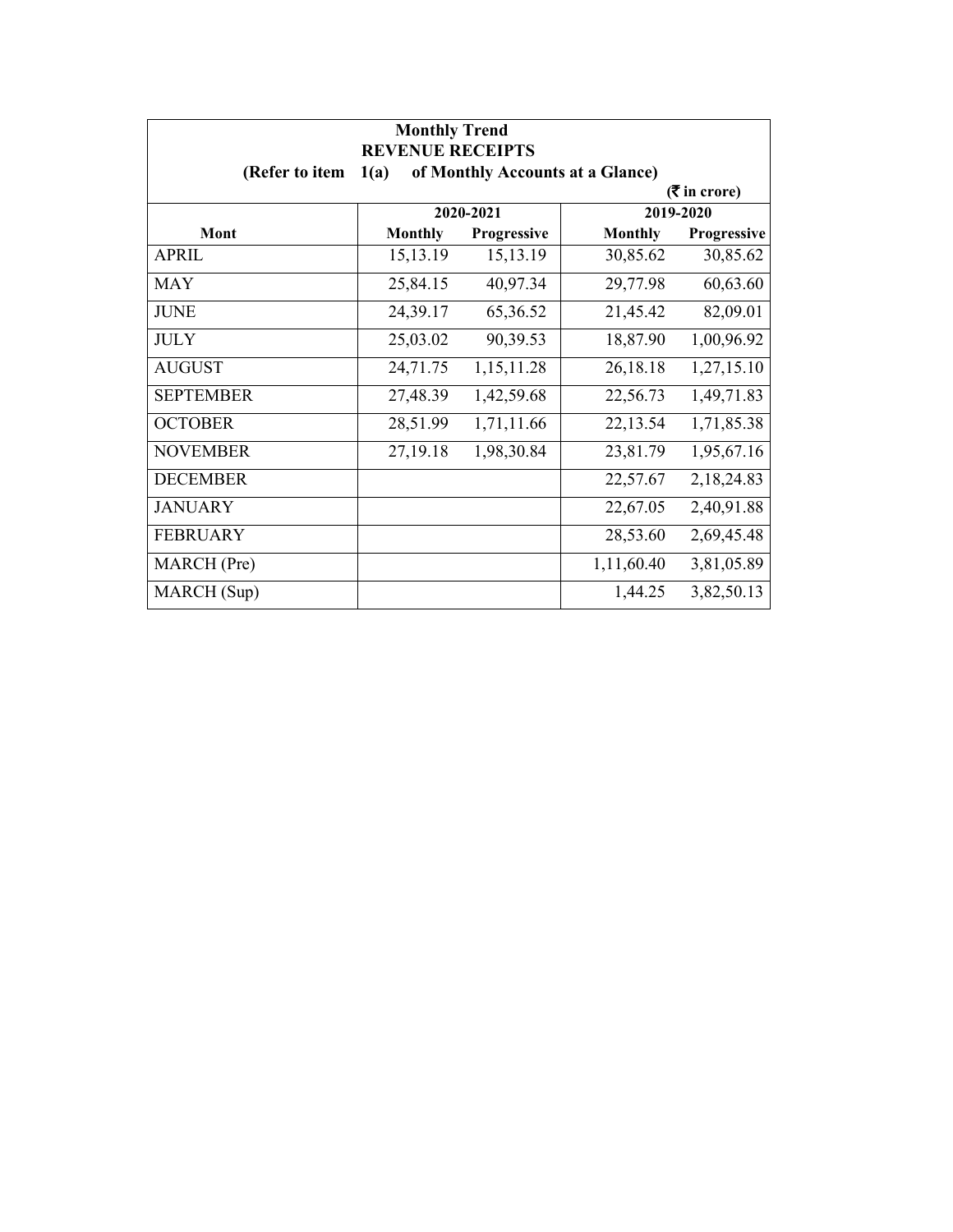| <b>Monthly Trend</b><br><b>REVENUE RECEIPTS</b> |                               |             |                                  |             |  |
|-------------------------------------------------|-------------------------------|-------------|----------------------------------|-------------|--|
| (Refer to item                                  | 1(a)                          |             | of Monthly Accounts at a Glance) |             |  |
|                                                 | $(5 \text{ in } \text{core})$ |             |                                  |             |  |
|                                                 |                               | 2020-2021   |                                  | 2019-2020   |  |
| Mont                                            | <b>Monthly</b>                | Progressive | <b>Monthly</b>                   | Progressive |  |
| APRIL                                           | 15, 13. 19                    | 15, 13. 19  | 30,85.62                         | 30,85.62    |  |
| <b>MAY</b>                                      | 25,84.15                      | 40,97.34    | 29,77.98                         | 60,63.60    |  |
| <b>JUNE</b>                                     | 24,39.17                      | 65,36.52    | 21,45.42                         | 82,09.01    |  |
| <b>JULY</b>                                     | 25,03.02                      | 90,39.53    | 18,87.90                         | 1,00,96.92  |  |
| <b>AUGUST</b>                                   | 24,71.75                      | 1,15,11.28  | 26,18.18                         | 1,27,15.10  |  |
| <b>SEPTEMBER</b>                                | 27,48.39                      | 1,42,59.68  | 22,56.73                         | 1,49,71.83  |  |
| <b>OCTOBER</b>                                  | 28,51.99                      | 1,71,11.66  | 22,13.54                         | 1,71,85.38  |  |
| <b>NOVEMBER</b>                                 | 27,19.18                      | 1,98,30.84  | 23,81.79                         | 1,95,67.16  |  |
| <b>DECEMBER</b>                                 |                               |             | 22,57.67                         | 2,18,24.83  |  |
| <b>JANUARY</b>                                  |                               |             | 22,67.05                         | 2,40,91.88  |  |
| <b>FEBRUARY</b>                                 |                               |             | 28,53.60                         | 2,69,45.48  |  |
| MARCH (Pre)                                     |                               |             | 1,11,60.40                       | 3,81,05.89  |  |
| MARCH (Sup)                                     |                               |             | 1,44.25                          | 3,82,50.13  |  |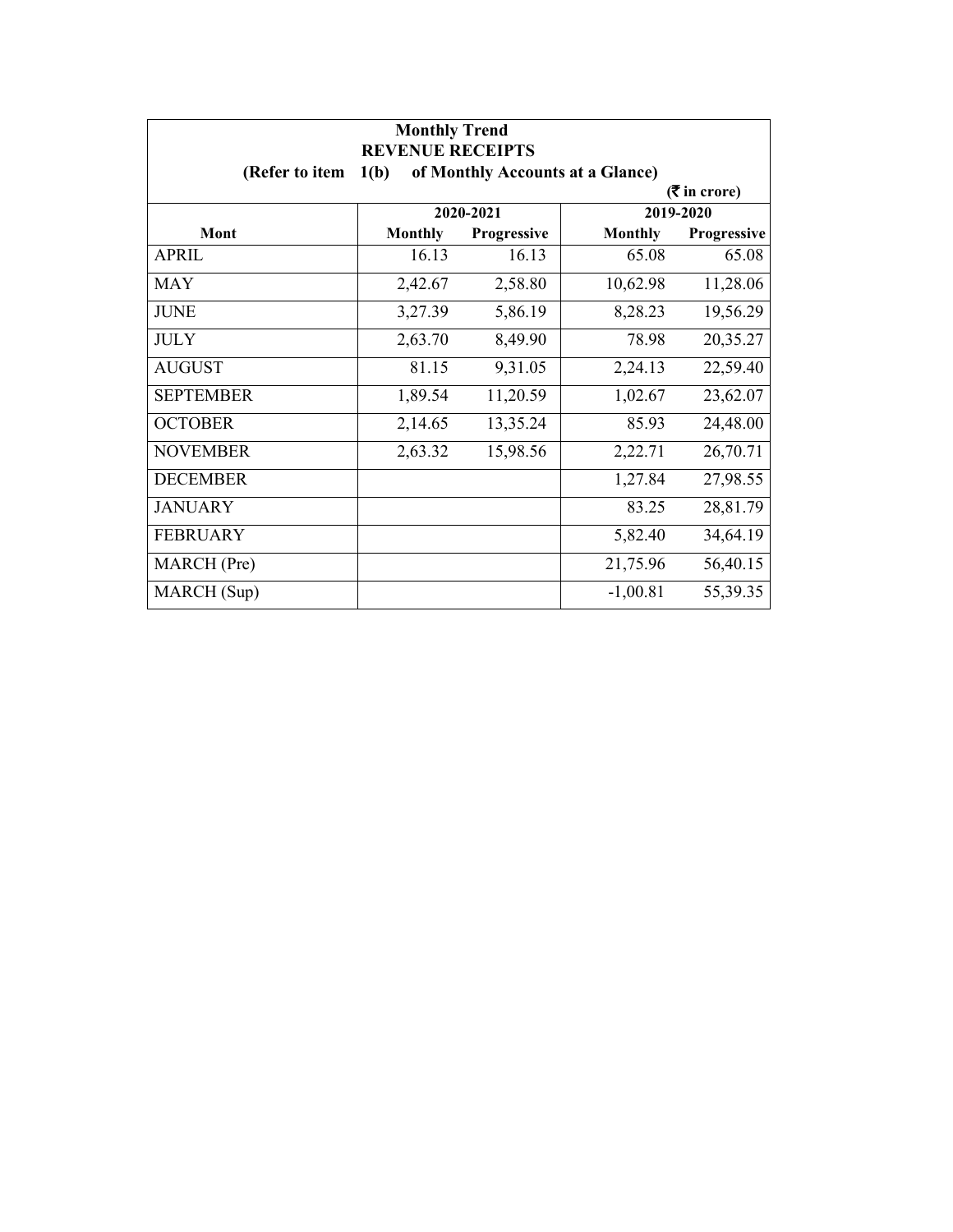| <b>Monthly Trend</b><br><b>REVENUE RECEIPTS</b> |                             |                                  |                |             |  |
|-------------------------------------------------|-----------------------------|----------------------------------|----------------|-------------|--|
| (Refer to item                                  | 1(b)                        | of Monthly Accounts at a Glance) |                |             |  |
|                                                 | $(3\overline{5})$ in crore) |                                  |                |             |  |
|                                                 |                             | 2020-2021                        |                | 2019-2020   |  |
| Mont                                            | <b>Monthly</b>              | Progressive                      | <b>Monthly</b> | Progressive |  |
| APRIL                                           | 16.13                       | 16.13                            | 65.08          | 65.08       |  |
| <b>MAY</b>                                      | 2,42.67                     | 2,58.80                          | 10,62.98       | 11,28.06    |  |
| <b>JUNE</b>                                     | 3,27.39                     | 5,86.19                          | 8,28.23        | 19,56.29    |  |
| <b>JULY</b>                                     | 2,63.70                     | 8,49.90                          | 78.98          | 20,35.27    |  |
| <b>AUGUST</b>                                   | 81.15                       | 9,31.05                          | 2,24.13        | 22,59.40    |  |
| <b>SEPTEMBER</b>                                | 1,89.54                     | 11,20.59                         | 1,02.67        | 23,62.07    |  |
| <b>OCTOBER</b>                                  | 2,14.65                     | 13,35.24                         | 85.93          | 24,48.00    |  |
| <b>NOVEMBER</b>                                 | 2,63.32                     | 15,98.56                         | 2,22.71        | 26,70.71    |  |
| <b>DECEMBER</b>                                 |                             |                                  | 1,27.84        | 27,98.55    |  |
| <b>JANUARY</b>                                  |                             |                                  | 83.25          | 28,81.79    |  |
| <b>FEBRUARY</b>                                 |                             |                                  | 5,82.40        | 34,64.19    |  |
| MARCH (Pre)                                     |                             |                                  | 21,75.96       | 56,40.15    |  |
| MARCH (Sup)                                     |                             |                                  | $-1,00.81$     | 55,39.35    |  |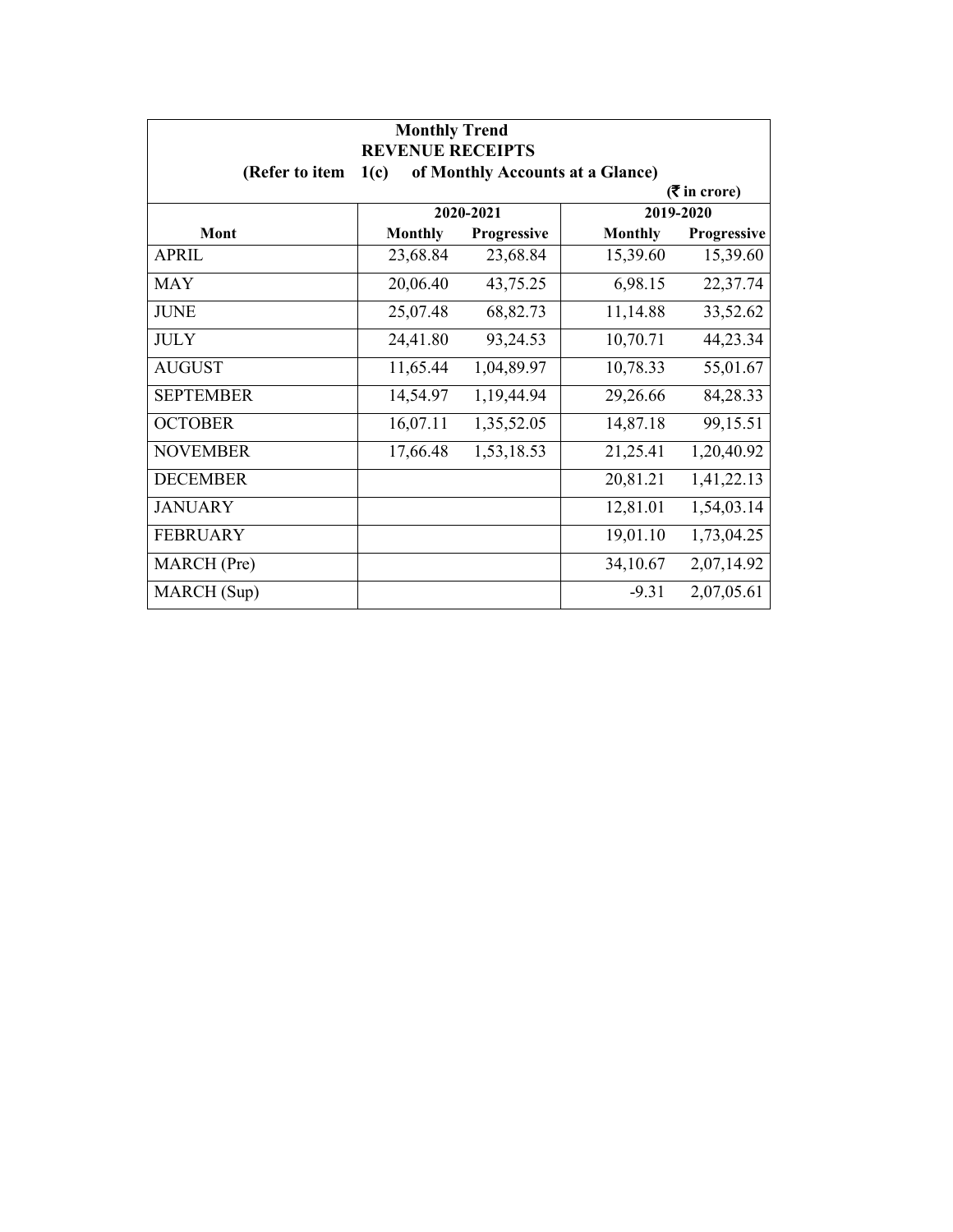| <b>Monthly Trend</b><br><b>REVENUE RECEIPTS</b>            |                             |             |                |             |  |
|------------------------------------------------------------|-----------------------------|-------------|----------------|-------------|--|
| (Refer to item<br>1(c)<br>of Monthly Accounts at a Glance) |                             |             |                |             |  |
|                                                            | $(3\overline{5})$ in crore) |             |                |             |  |
|                                                            |                             | 2020-2021   |                | 2019-2020   |  |
| Mont                                                       | <b>Monthly</b>              | Progressive | <b>Monthly</b> | Progressive |  |
| APRIL                                                      | 23,68.84                    | 23,68.84    | 15,39.60       | 15,39.60    |  |
| <b>MAY</b>                                                 | 20,06.40                    | 43,75.25    | 6,98.15        | 22,37.74    |  |
| <b>JUNE</b>                                                | 25,07.48                    | 68,82.73    | 11,14.88       | 33,52.62    |  |
| <b>JULY</b>                                                | 24,41.80                    | 93,24.53    | 10,70.71       | 44,23.34    |  |
| <b>AUGUST</b>                                              | 11,65.44                    | 1,04,89.97  | 10,78.33       | 55,01.67    |  |
| <b>SEPTEMBER</b>                                           | 14,54.97                    | 1,19,44.94  | 29,26.66       | 84,28.33    |  |
| <b>OCTOBER</b>                                             | 16,07.11                    | 1,35,52.05  | 14,87.18       | 99,15.51    |  |
| <b>NOVEMBER</b>                                            | 17,66.48                    | 1,53,18.53  | 21,25.41       | 1,20,40.92  |  |
| <b>DECEMBER</b>                                            |                             |             | 20,81.21       | 1,41,22.13  |  |
| <b>JANUARY</b>                                             |                             |             | 12,81.01       | 1,54,03.14  |  |
| <b>FEBRUARY</b>                                            |                             |             | 19,01.10       | 1,73,04.25  |  |
| MARCH (Pre)                                                |                             |             | 34,10.67       | 2,07,14.92  |  |
| MARCH (Sup)                                                |                             |             | $-9.31$        | 2,07,05.61  |  |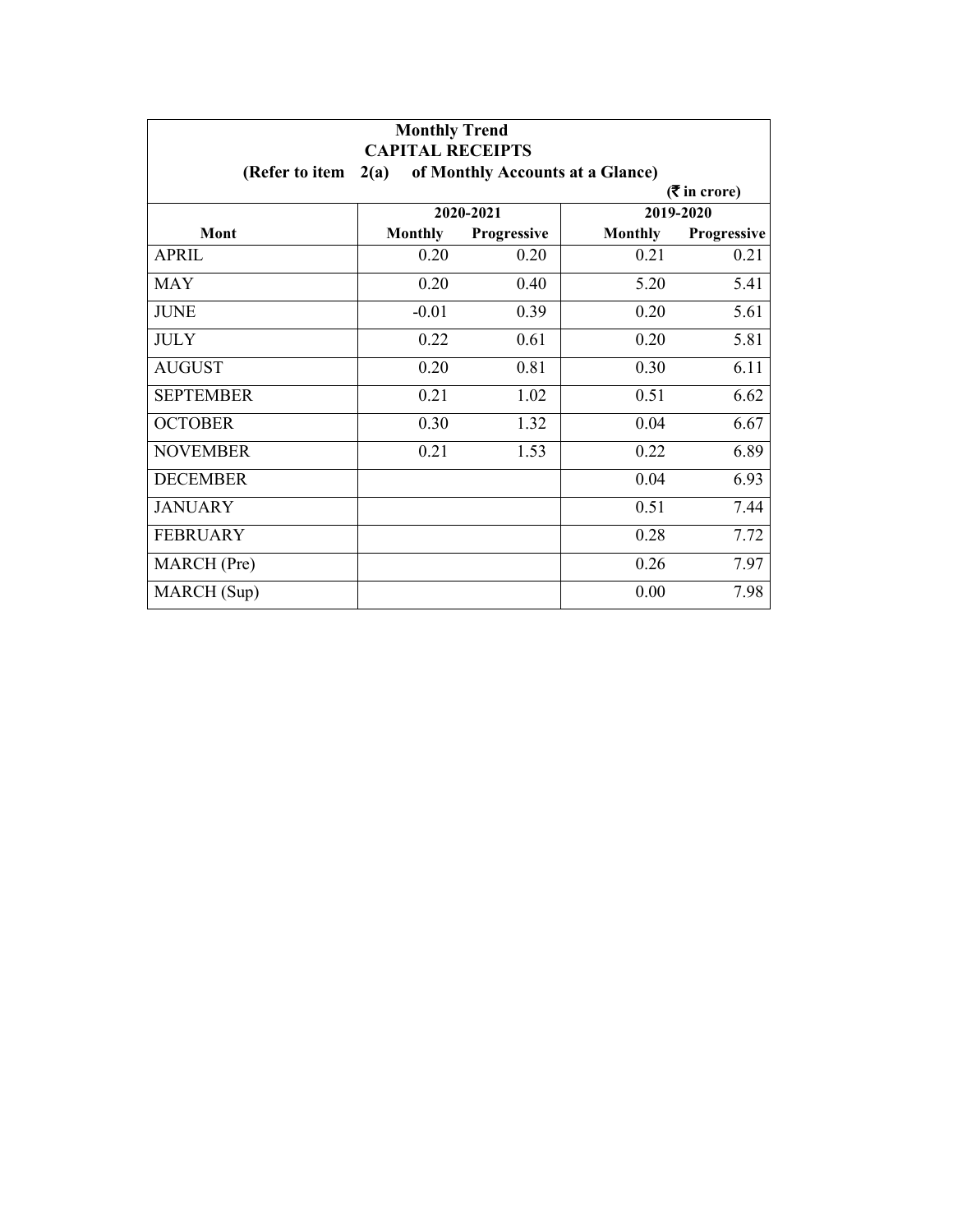| <b>Monthly Trend</b><br><b>CAPITAL RECEIPTS</b> |                 |             |                                  |             |  |
|-------------------------------------------------|-----------------|-------------|----------------------------------|-------------|--|
| (Refer to item                                  | 2(a)            |             | of Monthly Accounts at a Glance) |             |  |
|                                                 | $($ ₹ in crore) |             |                                  |             |  |
|                                                 |                 | 2020-2021   |                                  | 2019-2020   |  |
| <b>Mont</b>                                     | <b>Monthly</b>  | Progressive | <b>Monthly</b>                   | Progressive |  |
| <b>APRIL</b>                                    | 0.20            | 0.20        | 0.21                             | 0.21        |  |
| <b>MAY</b>                                      | 0.20            | 0.40        | 5.20                             | 5.41        |  |
| <b>JUNE</b>                                     | $-0.01$         | 0.39        | 0.20                             | 5.61        |  |
| <b>JULY</b>                                     | 0.22            | 0.61        | 0.20                             | 5.81        |  |
| <b>AUGUST</b>                                   | 0.20            | 0.81        | 0.30                             | 6.11        |  |
| <b>SEPTEMBER</b>                                | 0.21            | 1.02        | 0.51                             | 6.62        |  |
| <b>OCTOBER</b>                                  | 0.30            | 1.32        | 0.04                             | 6.67        |  |
| <b>NOVEMBER</b>                                 | 0.21            | 1.53        | 0.22                             | 6.89        |  |
| <b>DECEMBER</b>                                 |                 |             | 0.04                             | 6.93        |  |
| <b>JANUARY</b>                                  |                 |             | 0.51                             | 7.44        |  |
| <b>FEBRUARY</b>                                 |                 |             | 0.28                             | 7.72        |  |
| MARCH (Pre)                                     |                 |             | 0.26                             | 7.97        |  |
| MARCH (Sup)                                     |                 |             | 0.00                             | 7.98        |  |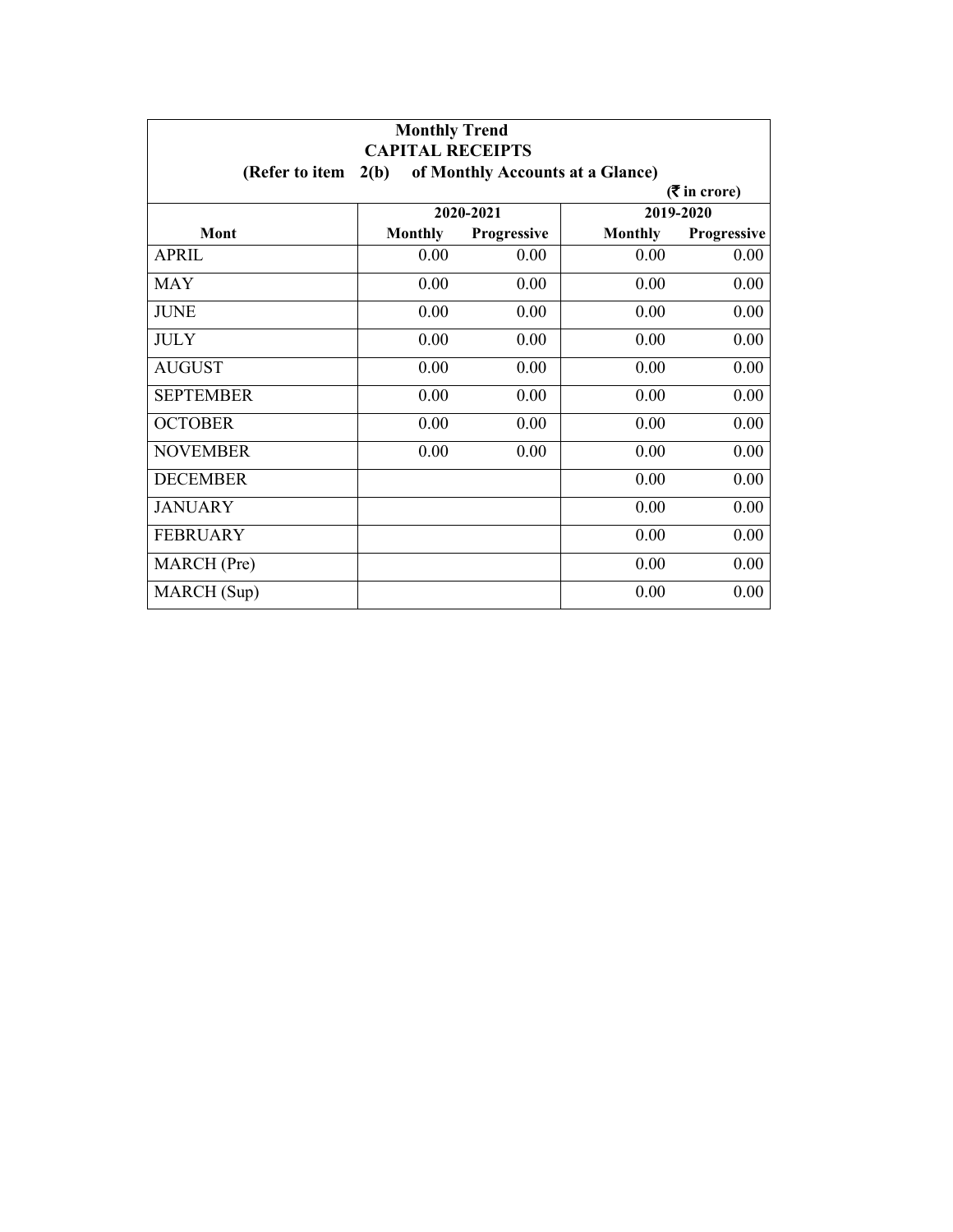| <b>Monthly Trend</b><br><b>CAPITAL RECEIPTS</b> |                             |                                  |                |             |  |
|-------------------------------------------------|-----------------------------|----------------------------------|----------------|-------------|--|
| (Refer to item                                  | 2(b)                        | of Monthly Accounts at a Glance) |                |             |  |
|                                                 | $(3\overline{5})$ in crore) |                                  |                |             |  |
|                                                 |                             | 2020-2021                        |                | 2019-2020   |  |
| Mont                                            | <b>Monthly</b>              | Progressive                      | <b>Monthly</b> | Progressive |  |
| <b>APRIL</b>                                    | 0.00                        | 0.00                             | 0.00           | 0.00        |  |
| MAY                                             | 0.00                        | 0.00                             | 0.00           | 0.00        |  |
| <b>JUNE</b>                                     | 0.00                        | 0.00                             | 0.00           | 0.00        |  |
| <b>JULY</b>                                     | 0.00                        | 0.00                             | 0.00           | 0.00        |  |
| <b>AUGUST</b>                                   | 0.00                        | 0.00                             | 0.00           | 0.00        |  |
| <b>SEPTEMBER</b>                                | 0.00                        | 0.00                             | 0.00           | 0.00        |  |
| <b>OCTOBER</b>                                  | 0.00                        | 0.00                             | 0.00           | 0.00        |  |
| <b>NOVEMBER</b>                                 | 0.00                        | 0.00                             | 0.00           | 0.00        |  |
| <b>DECEMBER</b>                                 |                             |                                  | 0.00           | 0.00        |  |
| <b>JANUARY</b>                                  |                             |                                  | 0.00           | 0.00        |  |
| <b>FEBRUARY</b>                                 |                             |                                  | 0.00           | 0.00        |  |
| MARCH (Pre)                                     |                             |                                  | 0.00           | 0.00        |  |
| MARCH (Sup)                                     |                             |                                  | 0.00           | 0.00        |  |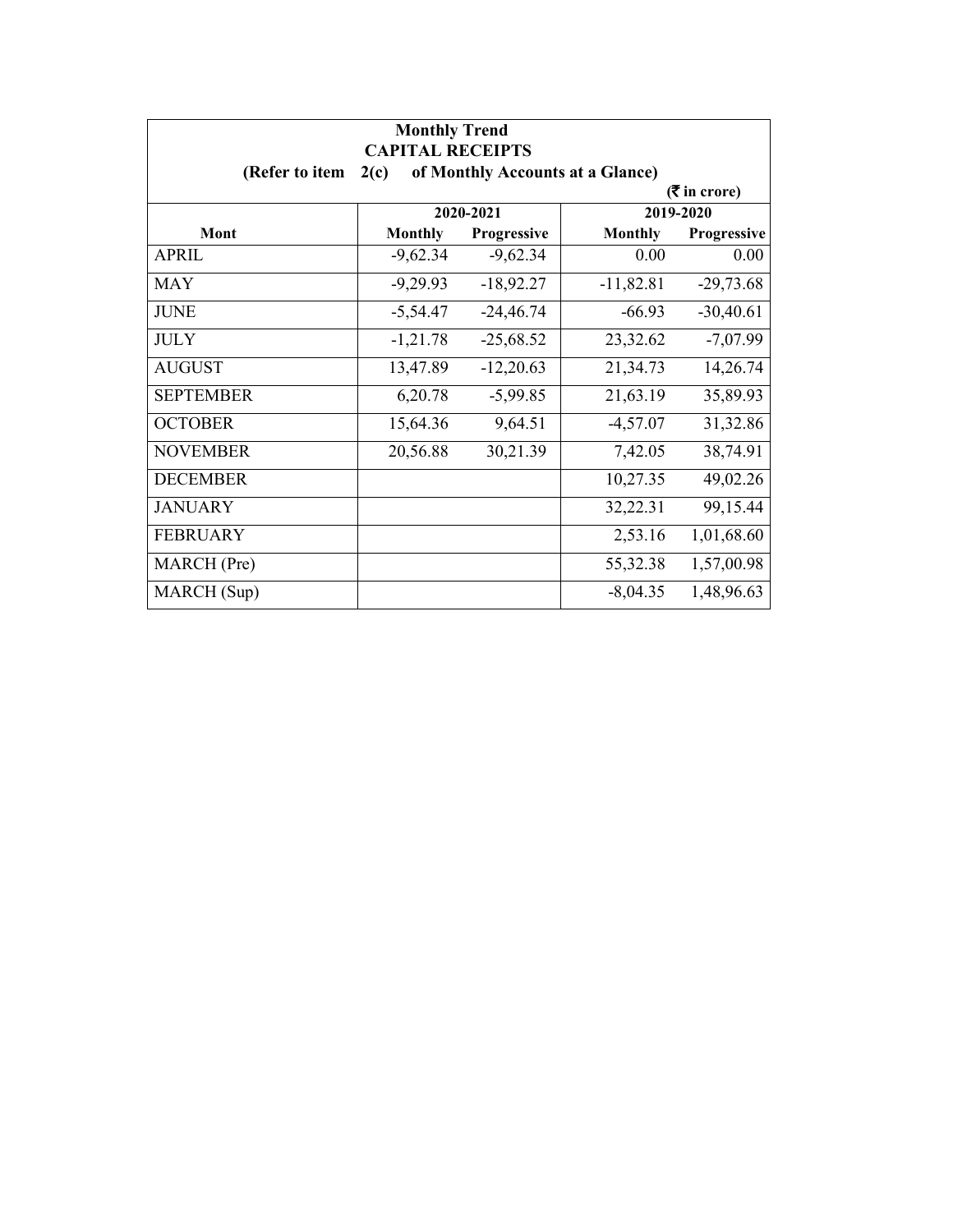| <b>Monthly Trend</b><br><b>CAPITAL RECEIPTS</b> |                             |                                  |                |             |  |
|-------------------------------------------------|-----------------------------|----------------------------------|----------------|-------------|--|
| (Refer to item                                  | 2(c)                        | of Monthly Accounts at a Glance) |                |             |  |
|                                                 | $(3\overline{5})$ in crore) |                                  |                |             |  |
|                                                 |                             | 2020-2021                        |                | 2019-2020   |  |
| Mont                                            | <b>Monthly</b>              | Progressive                      | <b>Monthly</b> | Progressive |  |
| <b>APRIL</b>                                    | $-9,62.34$                  | $-9,62.34$                       | 0.00           | 0.00        |  |
| <b>MAY</b>                                      | $-9,29.93$                  | $-18,92.27$                      | $-11,82.81$    | $-29,73.68$ |  |
| <b>JUNE</b>                                     | $-5,54.47$                  | $-24,46.74$                      | $-66.93$       | $-30,40.61$ |  |
| <b>JULY</b>                                     | $-1,21.78$                  | $-25,68.52$                      | 23,32.62       | $-7,07.99$  |  |
| <b>AUGUST</b>                                   | 13,47.89                    | $-12,20.63$                      | 21,34.73       | 14,26.74    |  |
| <b>SEPTEMBER</b>                                | 6,20.78                     | $-5,99.85$                       | 21,63.19       | 35,89.93    |  |
| <b>OCTOBER</b>                                  | 15,64.36                    | 9,64.51                          | $-4,57.07$     | 31,32.86    |  |
| <b>NOVEMBER</b>                                 | 20,56.88                    | 30,21.39                         | 7,42.05        | 38,74.91    |  |
| <b>DECEMBER</b>                                 |                             |                                  | 10,27.35       | 49,02.26    |  |
| <b>JANUARY</b>                                  |                             |                                  | 32,22.31       | 99,15.44    |  |
| <b>FEBRUARY</b>                                 |                             |                                  | 2,53.16        | 1,01,68.60  |  |
| MARCH (Pre)                                     |                             |                                  | 55,32.38       | 1,57,00.98  |  |
| MARCH (Sup)                                     |                             |                                  | $-8,04.35$     | 1,48,96.63  |  |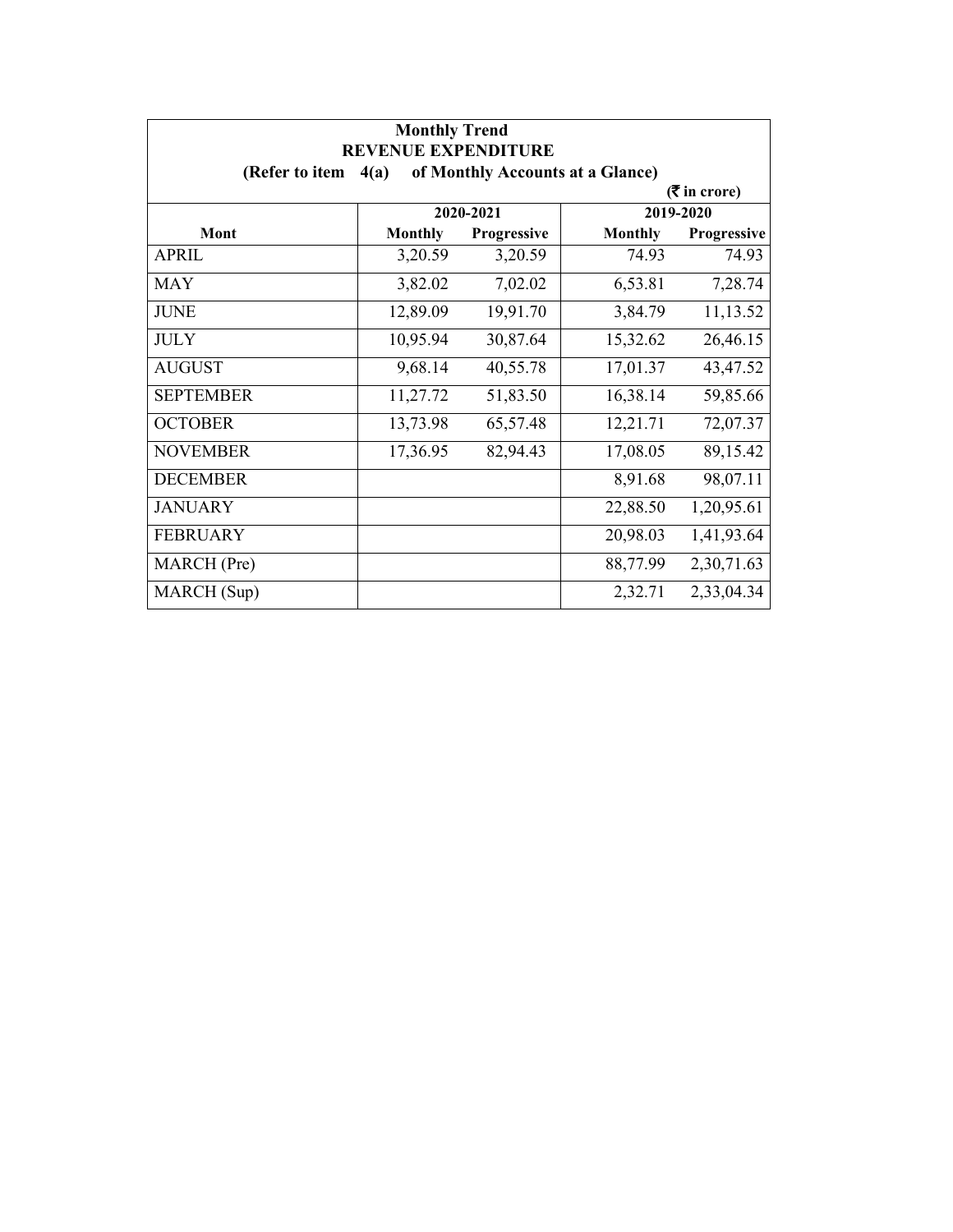| <b>Monthly Trend</b><br><b>REVENUE EXPENDITURE</b> |                |                                  |                |                             |
|----------------------------------------------------|----------------|----------------------------------|----------------|-----------------------------|
| (Refer to item                                     | 4(a)           | of Monthly Accounts at a Glance) |                |                             |
|                                                    |                |                                  |                | $(3\overline{5})$ in crore) |
|                                                    |                | 2020-2021                        |                | 2019-2020                   |
| Mont                                               | <b>Monthly</b> | Progressive                      | <b>Monthly</b> | <b>Progressive</b>          |
| <b>APRIL</b>                                       | 3,20.59        | 3,20.59                          | 74.93          | 74.93                       |
| <b>MAY</b>                                         | 3,82.02        | 7,02.02                          | 6,53.81        | 7,28.74                     |
| <b>JUNE</b>                                        | 12,89.09       | 19,91.70                         | 3,84.79        | 11,13.52                    |
| <b>JULY</b>                                        | 10,95.94       | 30,87.64                         | 15,32.62       | 26,46.15                    |
| <b>AUGUST</b>                                      | 9,68.14        | 40,55.78                         | 17,01.37       | 43,47.52                    |
| <b>SEPTEMBER</b>                                   | 11,27.72       | 51,83.50                         | 16,38.14       | 59,85.66                    |
| <b>OCTOBER</b>                                     | 13,73.98       | 65,57.48                         | 12,21.71       | 72,07.37                    |
| <b>NOVEMBER</b>                                    | 17,36.95       | 82,94.43                         | 17,08.05       | 89,15.42                    |
| <b>DECEMBER</b>                                    |                |                                  | 8,91.68        | 98,07.11                    |
| <b>JANUARY</b>                                     |                |                                  | 22,88.50       | 1,20,95.61                  |
| <b>FEBRUARY</b>                                    |                |                                  | 20,98.03       | 1,41,93.64                  |
| MARCH (Pre)                                        |                |                                  | 88,77.99       | 2,30,71.63                  |
| MARCH (Sup)                                        |                |                                  | 2,32.71        | 2,33,04.34                  |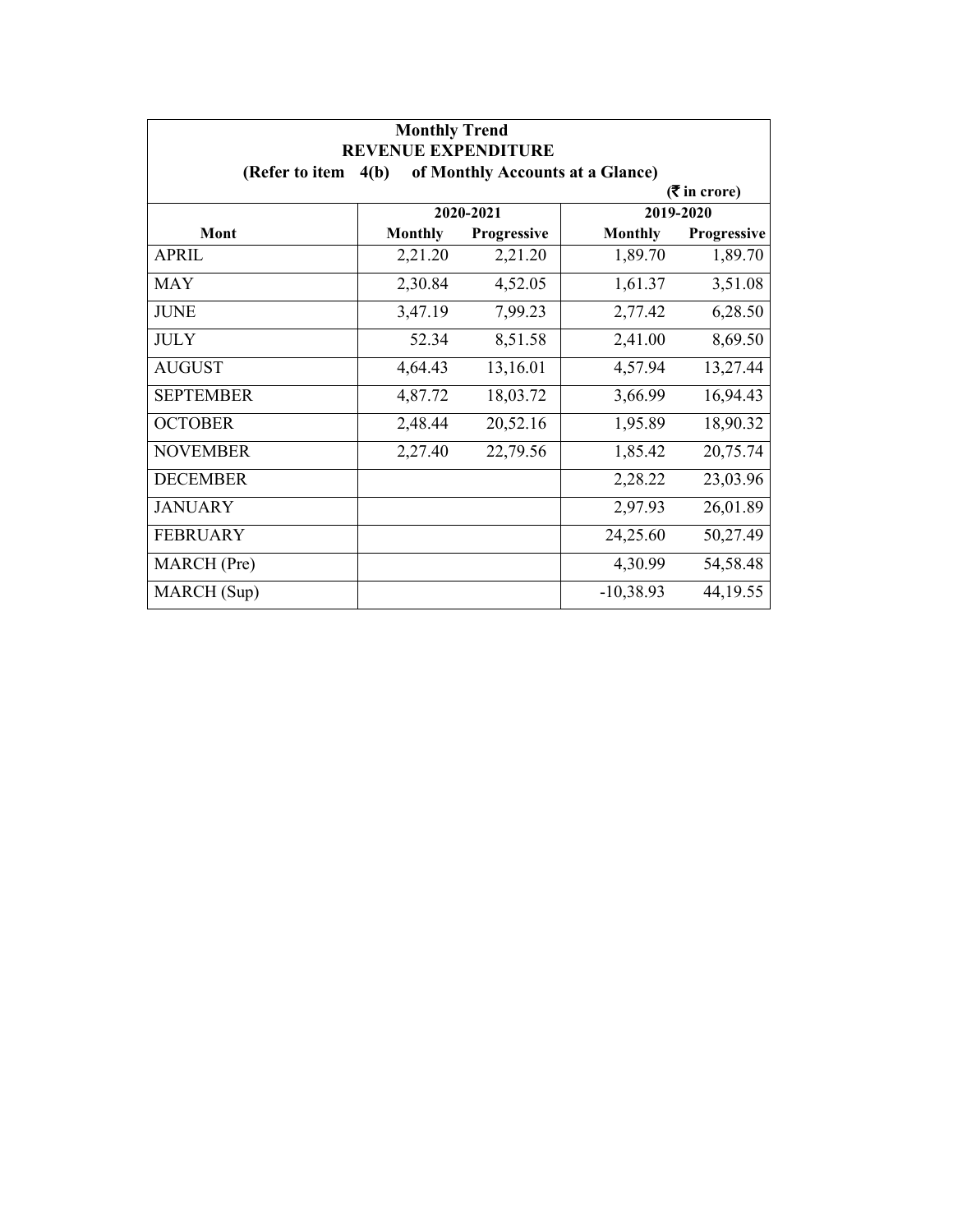| <b>Monthly Trend</b><br><b>REVENUE EXPENDITURE</b> |                |                                  |                |                             |
|----------------------------------------------------|----------------|----------------------------------|----------------|-----------------------------|
| (Refer to item $4(b)$ )                            |                | of Monthly Accounts at a Glance) |                |                             |
|                                                    |                |                                  |                | $(3\overline{5})$ in crore) |
|                                                    |                | 2020-2021                        |                | 2019-2020                   |
| Mont                                               | <b>Monthly</b> | Progressive                      | <b>Monthly</b> | Progressive                 |
| <b>APRIL</b>                                       | 2,21.20        | 2,21.20                          | 1,89.70        | 1,89.70                     |
| <b>MAY</b>                                         | 2,30.84        | 4,52.05                          | 1,61.37        | 3,51.08                     |
| <b>JUNE</b>                                        | 3,47.19        | 7,99.23                          | 2,77.42        | 6,28.50                     |
| <b>JULY</b>                                        | 52.34          | 8,51.58                          | 2,41.00        | 8,69.50                     |
| <b>AUGUST</b>                                      | 4,64.43        | 13,16.01                         | 4,57.94        | 13,27.44                    |
| <b>SEPTEMBER</b>                                   | 4,87.72        | 18,03.72                         | 3,66.99        | 16,94.43                    |
| <b>OCTOBER</b>                                     | 2,48.44        | 20,52.16                         | 1,95.89        | 18,90.32                    |
| <b>NOVEMBER</b>                                    | 2,27.40        | 22,79.56                         | 1,85.42        | 20,75.74                    |
| <b>DECEMBER</b>                                    |                |                                  | 2,28.22        | 23,03.96                    |
| <b>JANUARY</b>                                     |                |                                  | 2,97.93        | 26,01.89                    |
| <b>FEBRUARY</b>                                    |                |                                  | 24,25.60       | 50,27.49                    |
| MARCH (Pre)                                        |                |                                  | 4,30.99        | 54,58.48                    |
| MARCH (Sup)                                        |                |                                  | $-10,38.93$    | 44, 19.55                   |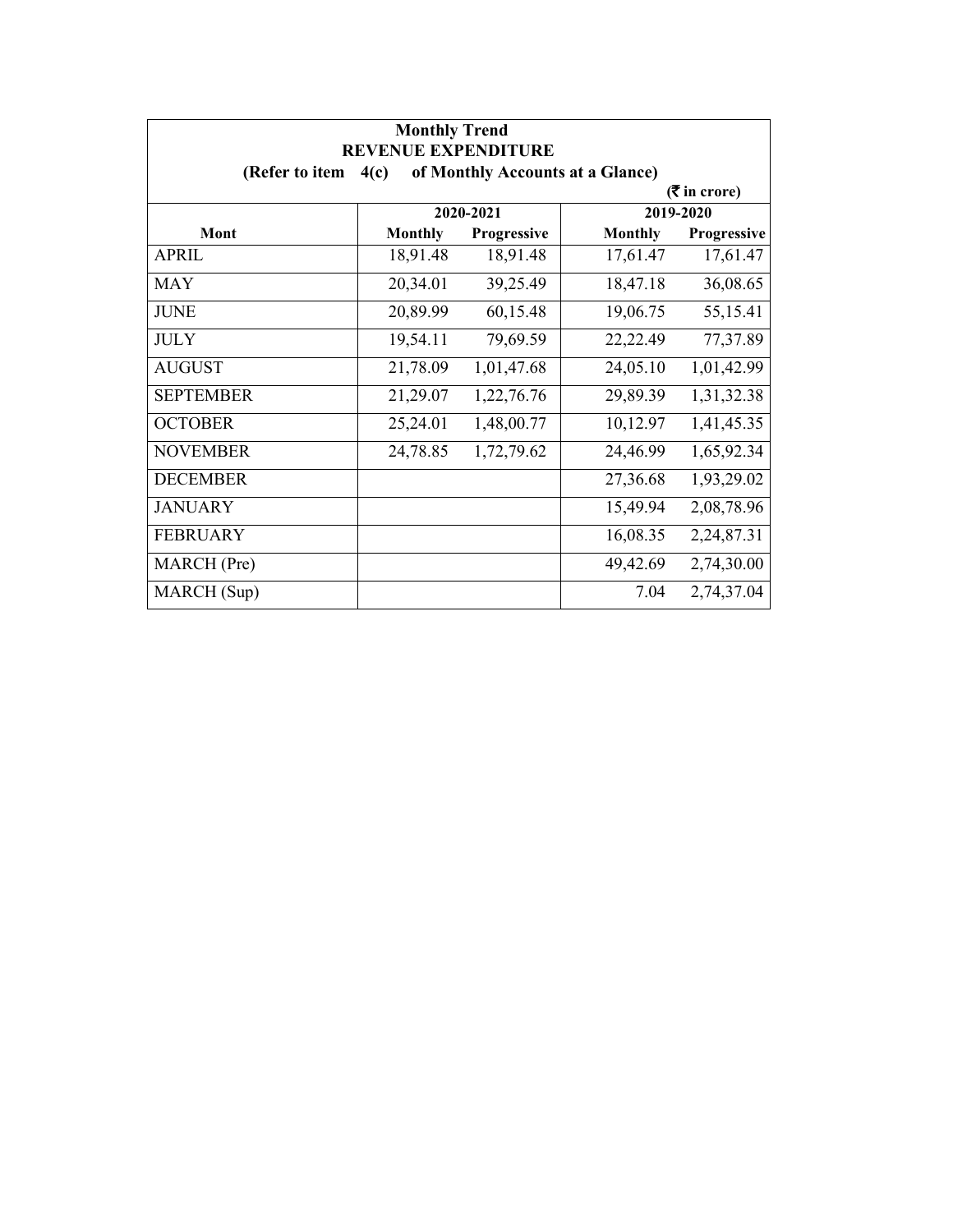| <b>Monthly Trend</b><br><b>REVENUE EXPENDITURE</b> |                |                                  |                |                             |
|----------------------------------------------------|----------------|----------------------------------|----------------|-----------------------------|
| (Refer to item                                     | 4(c)           | of Monthly Accounts at a Glance) |                |                             |
|                                                    |                |                                  |                | $(3\overline{5})$ in crore) |
|                                                    |                | 2020-2021                        |                | 2019-2020                   |
| Mont                                               | <b>Monthly</b> | Progressive                      | <b>Monthly</b> | Progressive                 |
| <b>APRIL</b>                                       | 18,91.48       | 18,91.48                         | 17,61.47       | 17,61.47                    |
| <b>MAY</b>                                         | 20,34.01       | 39,25.49                         | 18,47.18       | 36,08.65                    |
| <b>JUNE</b>                                        | 20,89.99       | 60,15.48                         | 19,06.75       | 55,15.41                    |
| <b>JULY</b>                                        | 19,54.11       | 79,69.59                         | 22,22.49       | 77,37.89                    |
| <b>AUGUST</b>                                      | 21,78.09       | 1,01,47.68                       | 24,05.10       | 1,01,42.99                  |
| <b>SEPTEMBER</b>                                   | 21,29.07       | 1,22,76.76                       | 29,89.39       | 1,31,32.38                  |
| <b>OCTOBER</b>                                     | 25,24.01       | 1,48,00.77                       | 10,12.97       | 1,41,45.35                  |
| <b>NOVEMBER</b>                                    | 24,78.85       | 1,72,79.62                       | 24,46.99       | 1,65,92.34                  |
| <b>DECEMBER</b>                                    |                |                                  | 27,36.68       | 1,93,29.02                  |
| <b>JANUARY</b>                                     |                |                                  | 15,49.94       | 2,08,78.96                  |
| <b>FEBRUARY</b>                                    |                |                                  | 16,08.35       | 2,24,87.31                  |
| MARCH (Pre)                                        |                |                                  | 49,42.69       | 2,74,30.00                  |
| MARCH (Sup)                                        |                |                                  | 7.04           | 2,74,37.04                  |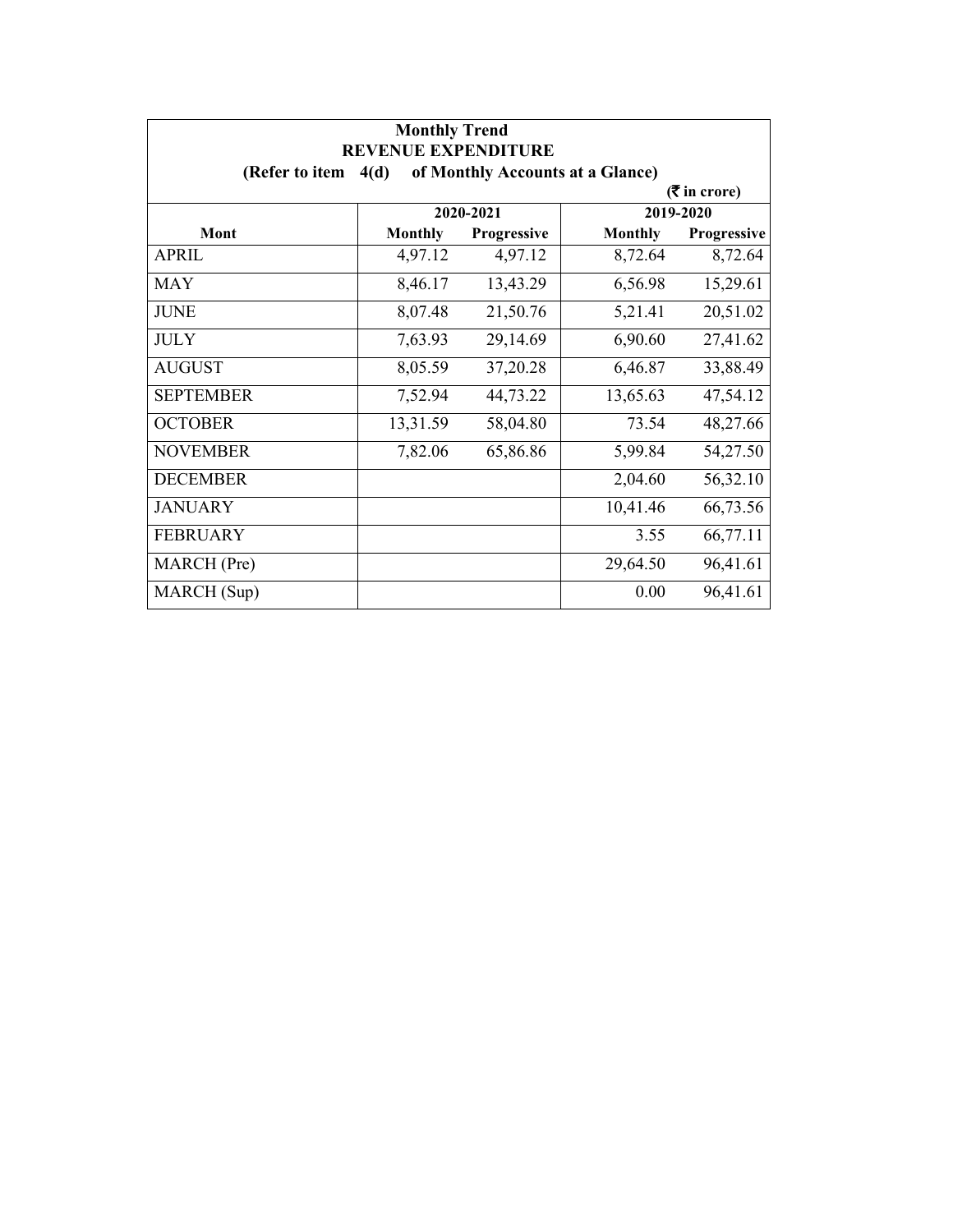| <b>Monthly Trend</b><br><b>REVENUE EXPENDITURE</b> |                |             |                                  |                 |
|----------------------------------------------------|----------------|-------------|----------------------------------|-----------------|
| (Refer to item $4(d)$                              |                |             | of Monthly Accounts at a Glance) |                 |
|                                                    |                |             |                                  | $($ ₹ in crore) |
|                                                    |                | 2020-2021   |                                  | 2019-2020       |
| Mont                                               | <b>Monthly</b> | Progressive | <b>Monthly</b>                   | Progressive     |
| <b>APRIL</b>                                       | 4,97.12        | 4,97.12     | 8,72.64                          | 8,72.64         |
| <b>MAY</b>                                         | 8,46.17        | 13,43.29    | 6,56.98                          | 15,29.61        |
| <b>JUNE</b>                                        | 8,07.48        | 21,50.76    | 5,21.41                          | 20,51.02        |
| <b>JULY</b>                                        | 7,63.93        | 29,14.69    | 6,90.60                          | 27,41.62        |
| <b>AUGUST</b>                                      | 8,05.59        | 37,20.28    | 6,46.87                          | 33,88.49        |
| <b>SEPTEMBER</b>                                   | 7,52.94        | 44,73.22    | 13,65.63                         | 47,54.12        |
| <b>OCTOBER</b>                                     | 13,31.59       | 58,04.80    | 73.54                            | 48,27.66        |
| <b>NOVEMBER</b>                                    | 7,82.06        | 65,86.86    | 5,99.84                          | 54,27.50        |
| <b>DECEMBER</b>                                    |                |             | 2,04.60                          | 56,32.10        |
| <b>JANUARY</b>                                     |                |             | 10,41.46                         | 66,73.56        |
| <b>FEBRUARY</b>                                    |                |             | 3.55                             | 66,77.11        |
| MARCH (Pre)                                        |                |             | 29,64.50                         | 96,41.61        |
| MARCH (Sup)                                        |                |             | 0.00                             | 96,41.61        |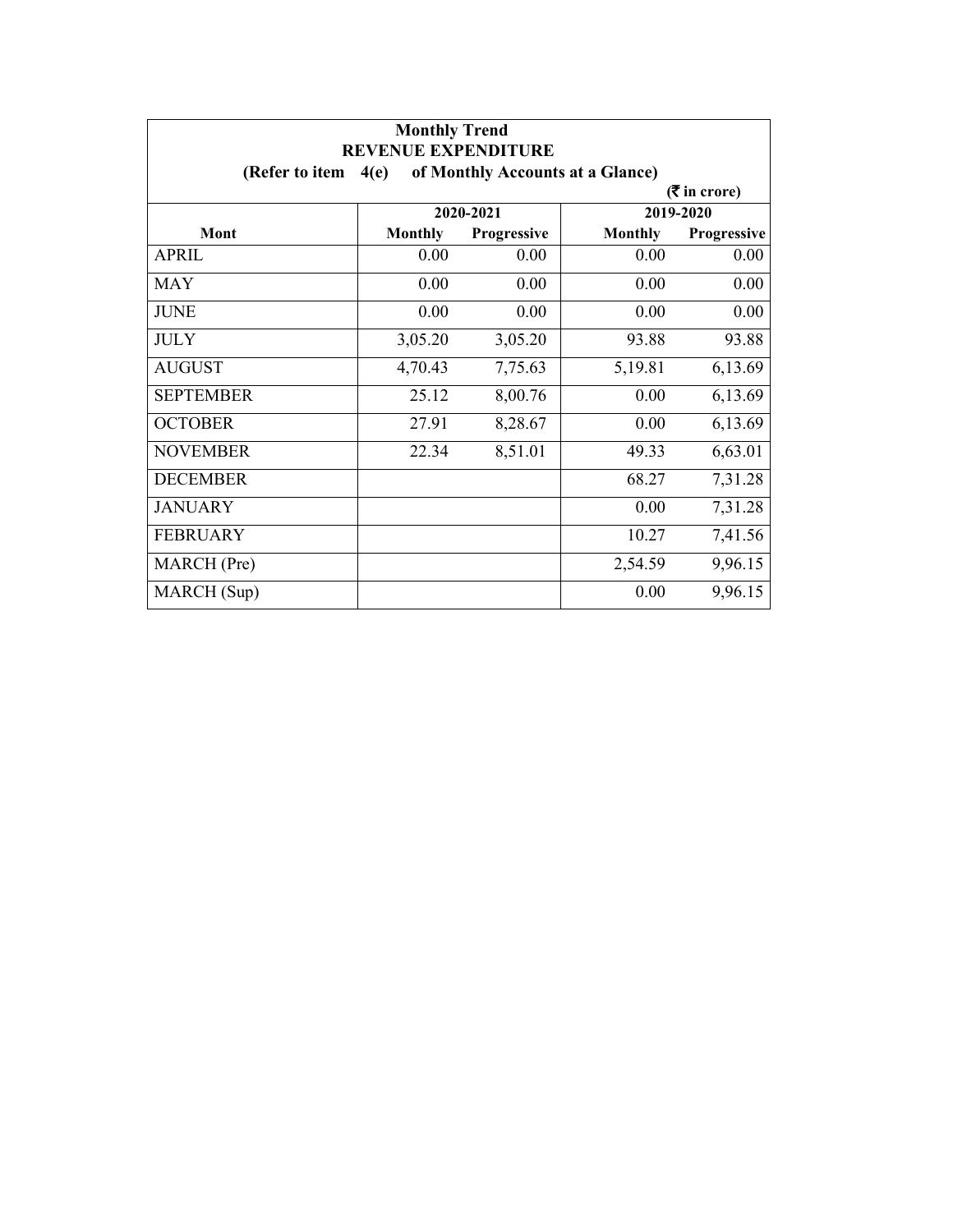| <b>Monthly Trend</b><br><b>REVENUE EXPENDITURE</b> |                                          |                    |                |                             |  |
|----------------------------------------------------|------------------------------------------|--------------------|----------------|-----------------------------|--|
| (Refer to item                                     | of Monthly Accounts at a Glance)<br>4(e) |                    |                |                             |  |
|                                                    |                                          |                    |                | $(3\overline{5})$ in crore) |  |
|                                                    |                                          | 2020-2021          |                | 2019-2020                   |  |
| Mont                                               | <b>Monthly</b>                           | <b>Progressive</b> | <b>Monthly</b> | Progressive                 |  |
| <b>APRIL</b>                                       | 0.00                                     | 0.00               | 0.00           | 0.00                        |  |
| <b>MAY</b>                                         | 0.00                                     | 0.00               | 0.00           | 0.00                        |  |
| <b>JUNE</b>                                        | 0.00                                     | 0.00               | 0.00           | $0.00\,$                    |  |
| <b>JULY</b>                                        | 3,05.20                                  | 3,05.20            | 93.88          | 93.88                       |  |
| <b>AUGUST</b>                                      | 4,70.43                                  | 7,75.63            | 5,19.81        | 6,13.69                     |  |
| <b>SEPTEMBER</b>                                   | 25.12                                    | 8,00.76            | 0.00           | 6,13.69                     |  |
| <b>OCTOBER</b>                                     | 27.91                                    | 8,28.67            | 0.00           | 6,13.69                     |  |
| <b>NOVEMBER</b>                                    | 22.34                                    | 8,51.01            | 49.33          | 6,63.01                     |  |
| <b>DECEMBER</b>                                    |                                          |                    | 68.27          | 7,31.28                     |  |
| <b>JANUARY</b>                                     |                                          |                    | 0.00           | 7,31.28                     |  |
| <b>FEBRUARY</b>                                    |                                          |                    | 10.27          | 7,41.56                     |  |
| MARCH (Pre)                                        |                                          |                    | 2,54.59        | 9,96.15                     |  |
| MARCH (Sup)                                        |                                          |                    | 0.00           | 9,96.15                     |  |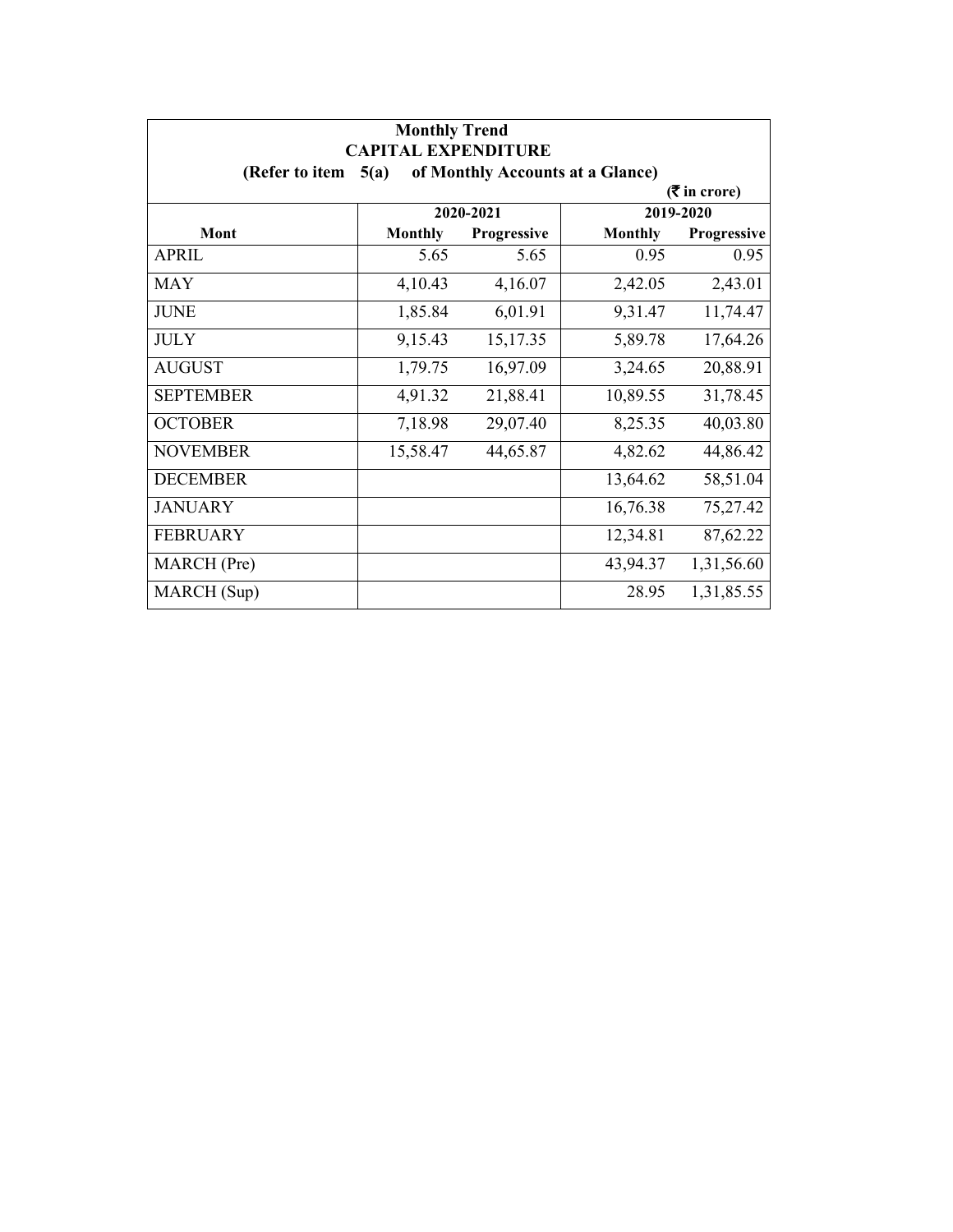| <b>Monthly Trend</b><br><b>CAPITAL EXPENDITURE</b>         |                |             |                |             |  |  |  |
|------------------------------------------------------------|----------------|-------------|----------------|-------------|--|--|--|
| of Monthly Accounts at a Glance)<br>(Refer to item<br>5(a) |                |             |                |             |  |  |  |
| $(3\overline{5})$ in crore)                                |                |             |                |             |  |  |  |
|                                                            | 2020-2021      |             | 2019-2020      |             |  |  |  |
| Mont                                                       | <b>Monthly</b> | Progressive | <b>Monthly</b> | Progressive |  |  |  |
| <b>APRIL</b>                                               | 5.65           | 5.65        | 0.95           | 0.95        |  |  |  |
| <b>MAY</b>                                                 | 4,10.43        | 4,16.07     | 2,42.05        | 2,43.01     |  |  |  |
| <b>JUNE</b>                                                | 1,85.84        | 6,01.91     | 9,31.47        | 11,74.47    |  |  |  |
| <b>JULY</b>                                                | 9,15.43        | 15,17.35    | 5,89.78        | 17,64.26    |  |  |  |
| <b>AUGUST</b>                                              | 1,79.75        | 16,97.09    | 3,24.65        | 20,88.91    |  |  |  |
| <b>SEPTEMBER</b>                                           | 4,91.32        | 21,88.41    | 10,89.55       | 31,78.45    |  |  |  |
| <b>OCTOBER</b>                                             | 7,18.98        | 29,07.40    | 8,25.35        | 40,03.80    |  |  |  |
| <b>NOVEMBER</b>                                            | 15,58.47       | 44,65.87    | 4,82.62        | 44,86.42    |  |  |  |
| <b>DECEMBER</b>                                            |                |             | 13,64.62       | 58,51.04    |  |  |  |
| <b>JANUARY</b>                                             |                |             | 16,76.38       | 75,27.42    |  |  |  |
| <b>FEBRUARY</b>                                            |                |             | 12,34.81       | 87,62.22    |  |  |  |
| MARCH (Pre)                                                |                |             | 43,94.37       | 1,31,56.60  |  |  |  |
| MARCH (Sup)                                                |                |             | 28.95          | 1,31,85.55  |  |  |  |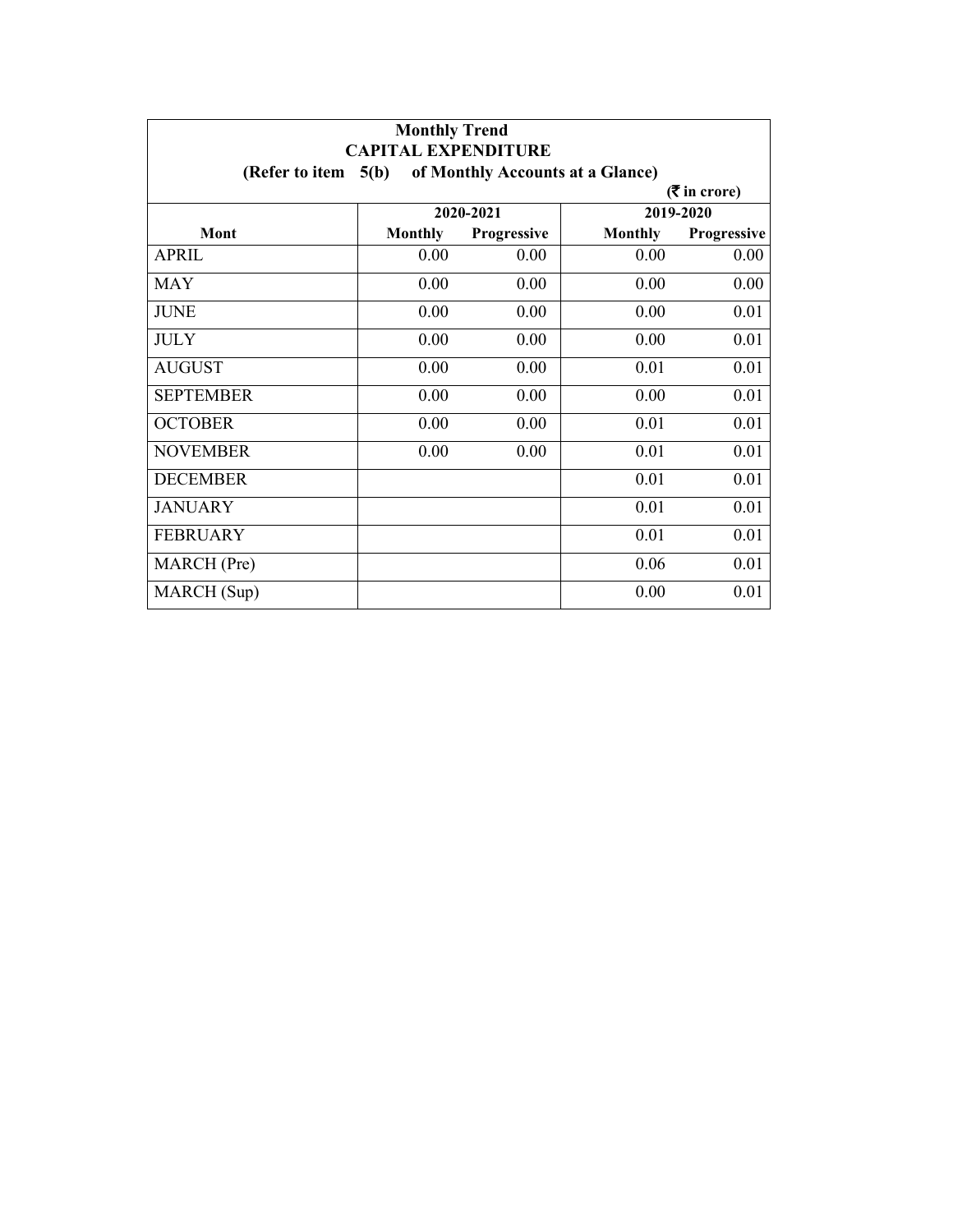| <b>Monthly Trend</b><br><b>CAPITAL EXPENDITURE</b>         |                |             |                |             |  |  |  |
|------------------------------------------------------------|----------------|-------------|----------------|-------------|--|--|--|
| of Monthly Accounts at a Glance)<br>5(b)<br>(Refer to item |                |             |                |             |  |  |  |
| $(3\overline{5})$ in crore)                                |                |             |                |             |  |  |  |
|                                                            | 2020-2021      |             | 2019-2020      |             |  |  |  |
| Mont                                                       | <b>Monthly</b> | Progressive | <b>Monthly</b> | Progressive |  |  |  |
| <b>APRIL</b>                                               | 0.00           | 0.00        | 0.00           | 0.00        |  |  |  |
| <b>MAY</b>                                                 | 0.00           | 0.00        | 0.00           | 0.00        |  |  |  |
| <b>JUNE</b>                                                | 0.00           | 0.00        | 0.00           | 0.01        |  |  |  |
| <b>JULY</b>                                                | 0.00           | 0.00        | 0.00           | 0.01        |  |  |  |
| <b>AUGUST</b>                                              | 0.00           | 0.00        | 0.01           | 0.01        |  |  |  |
| <b>SEPTEMBER</b>                                           | 0.00           | 0.00        | 0.00           | 0.01        |  |  |  |
| <b>OCTOBER</b>                                             | 0.00           | 0.00        | 0.01           | 0.01        |  |  |  |
| <b>NOVEMBER</b>                                            | 0.00           | 0.00        | 0.01           | 0.01        |  |  |  |
| <b>DECEMBER</b>                                            |                |             | 0.01           | 0.01        |  |  |  |
| <b>JANUARY</b>                                             |                |             | 0.01           | 0.01        |  |  |  |
| <b>FEBRUARY</b>                                            |                |             | 0.01           | 0.01        |  |  |  |
| MARCH (Pre)                                                |                |             | 0.06           | 0.01        |  |  |  |
| MARCH (Sup)                                                |                |             | 0.00           | 0.01        |  |  |  |